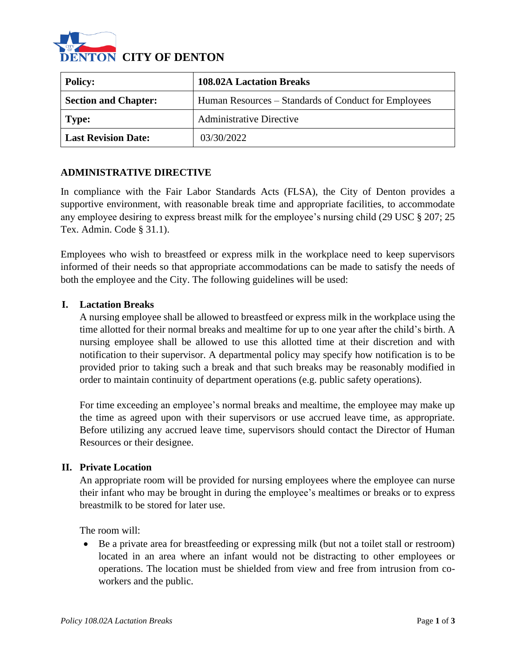

| <b>Policy:</b>              | <b>108.02A Lactation Breaks</b>                      |
|-----------------------------|------------------------------------------------------|
| <b>Section and Chapter:</b> | Human Resources – Standards of Conduct for Employees |
| Type:                       | <b>Administrative Directive</b>                      |
| <b>Last Revision Date:</b>  | 03/30/2022                                           |

## **ADMINISTRATIVE DIRECTIVE**

In compliance with the Fair Labor Standards Acts (FLSA), the City of Denton provides a supportive environment, with reasonable break time and appropriate facilities, to accommodate any employee desiring to express breast milk for the employee's nursing child (29 USC § 207; 25 Tex. Admin. Code § 31.1).

Employees who wish to breastfeed or express milk in the workplace need to keep supervisors informed of their needs so that appropriate accommodations can be made to satisfy the needs of both the employee and the City. The following guidelines will be used:

## **I. Lactation Breaks**

A nursing employee shall be allowed to breastfeed or express milk in the workplace using the time allotted for their normal breaks and mealtime for up to one year after the child's birth. A nursing employee shall be allowed to use this allotted time at their discretion and with notification to their supervisor. A departmental policy may specify how notification is to be provided prior to taking such a break and that such breaks may be reasonably modified in order to maintain continuity of department operations (e.g. public safety operations).

For time exceeding an employee's normal breaks and mealtime, the employee may make up the time as agreed upon with their supervisors or use accrued leave time, as appropriate. Before utilizing any accrued leave time, supervisors should contact the Director of Human Resources or their designee.

#### **II. Private Location**

An appropriate room will be provided for nursing employees where the employee can nurse their infant who may be brought in during the employee's mealtimes or breaks or to express breastmilk to be stored for later use.

The room will:

• Be a private area for breastfeeding or expressing milk (but not a toilet stall or restroom) located in an area where an infant would not be distracting to other employees or operations. The location must be shielded from view and free from intrusion from coworkers and the public.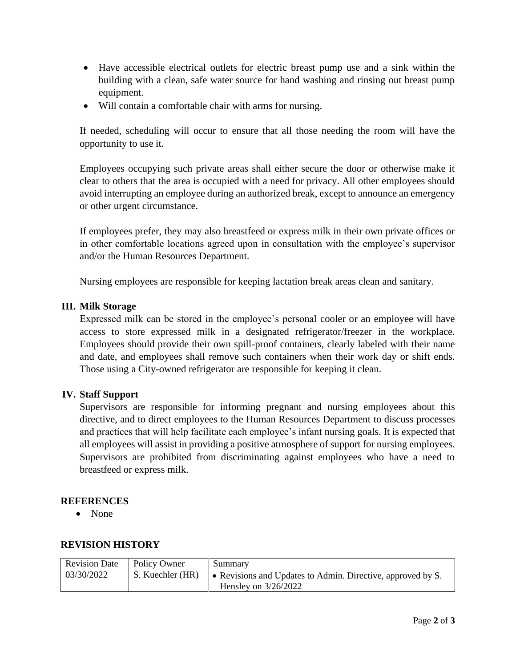- Have accessible electrical outlets for electric breast pump use and a sink within the building with a clean, safe water source for hand washing and rinsing out breast pump equipment.
- Will contain a comfortable chair with arms for nursing.

If needed, scheduling will occur to ensure that all those needing the room will have the opportunity to use it.

Employees occupying such private areas shall either secure the door or otherwise make it clear to others that the area is occupied with a need for privacy. All other employees should avoid interrupting an employee during an authorized break, except to announce an emergency or other urgent circumstance.

If employees prefer, they may also breastfeed or express milk in their own private offices or in other comfortable locations agreed upon in consultation with the employee's supervisor and/or the Human Resources Department.

Nursing employees are responsible for keeping lactation break areas clean and sanitary.

## **III. Milk Storage**

Expressed milk can be stored in the employee's personal cooler or an employee will have access to store expressed milk in a designated refrigerator/freezer in the workplace. Employees should provide their own spill-proof containers, clearly labeled with their name and date, and employees shall remove such containers when their work day or shift ends. Those using a City-owned refrigerator are responsible for keeping it clean.

## **IV. Staff Support**

Supervisors are responsible for informing pregnant and nursing employees about this directive, and to direct employees to the Human Resources Department to discuss processes and practices that will help facilitate each employee's infant nursing goals. It is expected that all employees will assist in providing a positive atmosphere of support for nursing employees. Supervisors are prohibited from discriminating against employees who have a need to breastfeed or express milk.

## **REFERENCES**

• None

# **REVISION HISTORY**

| <b>Revision Date</b> | Policy Owner     | Summary                                                                                       |
|----------------------|------------------|-----------------------------------------------------------------------------------------------|
| 03/30/2022           | S. Kuechler (HR) | $\bullet$ Revisions and Updates to Admin. Directive, approved by S.<br>Hensley on $3/26/2022$ |
|                      |                  |                                                                                               |